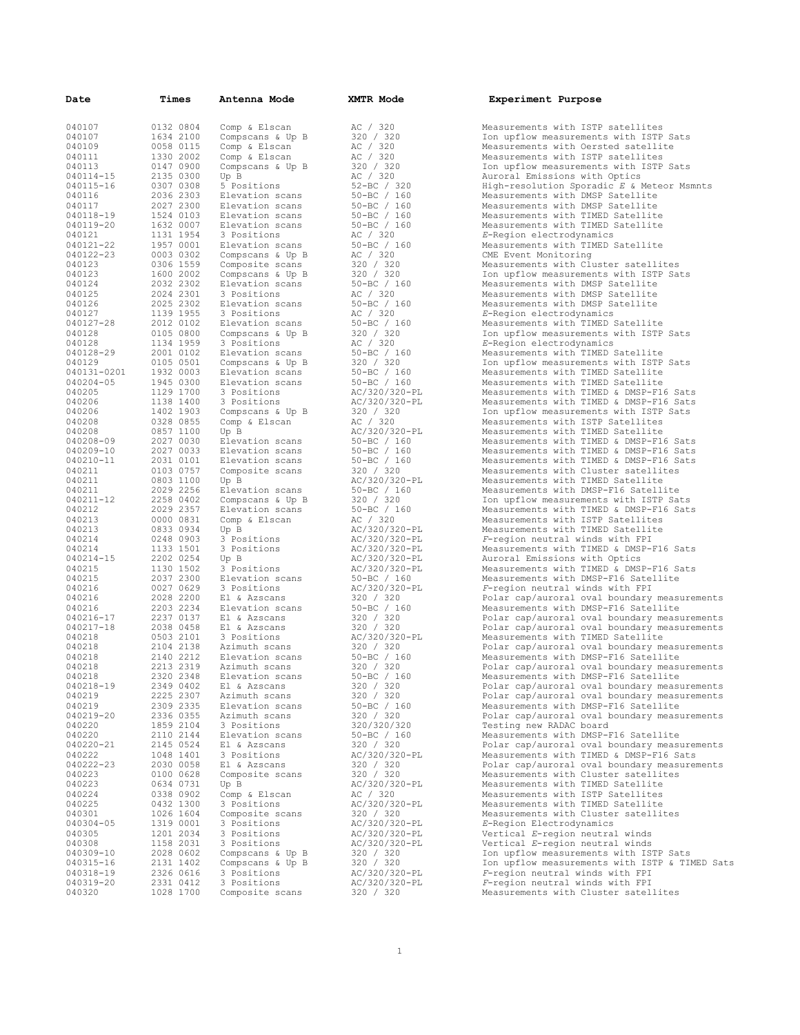| Date             | Times     | Antenna Mode     | <b>XMTR Mode</b>       | Experiment Purpose                                        |
|------------------|-----------|------------------|------------------------|-----------------------------------------------------------|
| 040107           | 0132 0804 | Comp & Elscan    | AC / 320               | Measurements with ISTP satellites                         |
| 040107           | 1634 2100 | Compscans & Up B | 320 / 320              | Ion upflow measurements with ISTP Sats                    |
| 040109           | 0058 0115 | Comp & Elscan    | AC / 320               | Measurements with Oersted satellite                       |
| 040111           | 1330 2002 | Comp & Elscan    | AC / 320               | Measurements with ISTP satellites                         |
| 040113           | 0147 0900 | Compscans & Up B | 320 / 320              | Ion upflow measurements with ISTP Sats                    |
| 040114-15        | 2135 0300 | Up B             | AC / 320               | Auroral Emissions with Optics                             |
| 040115-16        | 0307 0308 | 5 Positions      | $52-BC$ / 320          | High-resolution Sporadic E & Meteor Msmnts                |
| 040116           | 2036 2303 | Elevation scans  | $50 - BC / 160$        | Measurements with DMSP Satellite                          |
| 040117           | 2027 2300 | Elevation scans  | $50 - BC / 160$        | Measurements with DMSP Satellite                          |
| 040118-19        | 1524 0103 | Elevation scans  | $50 - BC / 160$        | Measurements with TIMED Satellite                         |
| 040119-20        | 1632 0007 | Elevation scans  | $50 - BC / 160$        | Measurements with TIMED Satellite                         |
| 040121           | 1131 1954 | 3 Positions      | AC / 320               | E-Region electrodynamics                                  |
|                  | 1957 0001 |                  | $50 - BC / 160$        |                                                           |
| 040121-22        | 0003 0302 | Elevation scans  | AC / 320               | Measurements with TIMED Satellite<br>CME Event Monitoring |
| 040122-23        | 0306 1559 | Compscans & Up B |                        |                                                           |
| 040123<br>040123 | 1600 2002 | Composite scans  | 320 / 320<br>320 / 320 | Measurements with Cluster satellites                      |
| 040124           | 2032 2302 | Compscans & Up B | $50 - BC / 160$        | Ion upflow measurements with ISTP Sats                    |
|                  |           | Elevation scans  |                        | Measurements with DMSP Satellite                          |
| 040125           | 2024 2301 | 3 Positions      | AC / 320               | Measurements with DMSP Satellite                          |
| 040126           | 2025 2302 | Elevation scans  | $50 - BC / 160$        | Measurements with DMSP Satellite                          |
| 040127           | 1139 1955 | 3 Positions      | AC / 320               | E-Region electrodynamics                                  |
| 040127-28        | 2012 0102 | Elevation scans  | $50 - BC / 160$        | Measurements with TIMED Satellite                         |
| 040128           | 0105 0800 | Compscans & Up B | 320 / 320              | Ion upflow measurements with ISTP Sats                    |
| 040128           | 1134 1959 | 3 Positions      | AC / 320               | E-Region electrodynamics                                  |
| 040128-29        | 2001 0102 | Elevation scans  | $50 - BC / 160$        | Measurements with TIMED Satellite                         |
| 040129           | 0105 0501 | Compscans & Up B | 320 / 320              | Ion upflow measurements with ISTP Sats                    |
| 040131-0201      | 1932 0003 | Elevation scans  | $50 - BC / 160$        | Measurements with TIMED Satellite                         |
| 040204-05        | 1945 0300 | Elevation scans  | $50 - BC / 160$        | Measurements with TIMED Satellite                         |
| 040205           | 1129 1700 | 3 Positions      | AC/320/320-PL          | Measurements with TIMED & DMSP-F16 Sats                   |
| 040206           | 1138 1400 | 3 Positions      | AC/320/320-PL          | Measurements with TIMED & DMSP-F16 Sats                   |
| 040206           | 1402 1903 | Compscans & Up B | 320 / 320              | Ion upflow measurements with ISTP Sats                    |
| 040208           | 0328 0855 | Comp & Elscan    | AC / 320               | Measurements with ISTP Satellites                         |
| 040208           | 0857 1100 | Up B             | AC/320/320-PL          | Measurements with TIMED Satellite                         |
| 040208-09        | 2027 0030 | Elevation scans  | $50 - BC / 160$        | Measurements with TIMED & DMSP-F16 Sats                   |
| 040209-10        | 2027 0033 | Elevation scans  | $50 - BC / 160$        | Measurements with TIMED & DMSP-F16 Sats                   |
| 040210-11        | 2031 0101 | Elevation scans  | $50 - BC / 160$        | Measurements with TIMED & DMSP-F16 Sats                   |
| 040211           | 0103 0757 | Composite scans  | 320 / 320              | Measurements with Cluster satellites                      |
| 040211           | 0803 1100 | Up B             | AC/320/320-PL          | Measurements with TIMED Satellite                         |
| 040211           | 2029 2256 | Elevation scans  | $50 - BC / 160$        | Measurements with DMSP-F16 Satellite                      |
| 040211-12        | 2258 0402 | Compscans & Up B | 320 / 320              | Ion upflow measurements with ISTP Sats                    |
| 040212           | 2029 2357 | Elevation scans  | $50 - BC / 160$        | Measurements with TIMED & DMSP-F16 Sats                   |
| 040213           | 0000 0831 | Comp & Elscan    | AC / 320               | Measurements with ISTP Satellites                         |
| 040213           | 0833 0934 | Up B             | AC/320/320-PL          | Measurements with TIMED Satellite                         |
| 040214           | 0248 0903 | 3 Positions      | AC/320/320-PL          | F-region neutral winds with FPI                           |
| 040214           | 1133 1501 | 3 Positions      | AC/320/320-PL          | Measurements with TIMED & DMSP-F16 Sats                   |
| 040214-15        | 2202 0254 | Up B             | AC/320/320-PL          | Auroral Emissions with Optics                             |
| 040215           | 1130 1502 | 3 Positions      | AC/320/320-PL          | Measurements with TIMED & DMSP-F16 Sats                   |
| 040215           | 2037 2300 | Elevation scans  | $50 - BC / 160$        | Measurements with DMSP-F16 Satellite                      |
| 040216           | 0027 0629 | 3 Positions      | AC/320/320-PL          | F-region neutral winds with FPI                           |
| 040216           | 2028 2200 | El & Azscans     | 320 / 320              | Polar cap/auroral oval boundary measurements              |
| 040216           | 2203 2234 | Elevation scans  | $50 - BC / 160$        | Measurements with DMSP-F16 Satellite                      |
| 040216-17        | 2237 0137 | El & Azscans     | 320 / 320              | Polar cap/auroral oval boundary measurements              |
| 040217-18        | 2038 0458 | El & Azscans     | 320 / 320              | Polar cap/auroral oval boundary measurements              |
| 040218           | 0503 2101 | 3 Positions      | AC/320/320-PL          | Measurements with TIMED Satellite                         |
| 040218           | 2104 2138 | Azimuth scans    | 320 / 320              | Polar cap/auroral oval boundary measurements              |
| 040218           | 2140 2212 | Elevation scans  | $50 - BC / 160$        | Measurements with DMSP-F16 Satellite                      |
| 040218           | 2213 2319 | Azimuth scans    | 320 / 320              | Polar cap/auroral oval boundary measurements              |
| 040218           | 2320 2348 | Elevation scans  | $50 - BC / 160$        | Measurements with DMSP-F16 Satellite                      |
| 040218-19        | 2349 0402 | El & Azscans     | 320 / 320              | Polar cap/auroral oval boundary measurements              |
| 040219           | 2225 2307 | Azimuth scans    | 320 / 320              | Polar cap/auroral oval boundary measurements              |
| 040219           | 2309 2335 | Elevation scans  | $50 - BC / 160$        | Measurements with DMSP-F16 Satellite                      |
| 040219-20        | 2336 0355 | Azimuth scans    | 320 / 320              | Polar cap/auroral oval boundary measurements              |
| 040220           | 1859 2104 | 3 Positions      | 320/320/320            | Testing new RADAC board                                   |
| 040220           | 2110 2144 | Elevation scans  | $50 - BC / 160$        | Measurements with DMSP-F16 Satellite                      |
| 040220-21        | 2145 0524 | El & Azscans     | 320 / 320              | Polar cap/auroral oval boundary measurements              |
| 040222           | 1048 1401 | 3 Positions      | AC/320/320-PL          | Measurements with TIMED & DMSP-F16 Sats                   |
| 040222-23        | 2030 0058 | El & Azscans     | 320 / 320              | Polar cap/auroral oval boundary measurements              |
| 040223           | 0100 0628 | Composite scans  | 320 / 320              | Measurements with Cluster satellites                      |
| 040223           | 0634 0731 | Up B             | AC/320/320-PL          | Measurements with TIMED Satellite                         |
| 040224           | 0338 0902 | Comp & Elscan    | AC / 320               | Measurements with ISTP Satellites                         |
| 040225           | 0432 1300 | 3 Positions      |                        | Measurements with TIMED Satellite                         |
| 040301           | 1026 1604 | Composite scans  | AC/320/320-PL          | Measurements with Cluster satellites                      |
| 040304-05        |           | 3 Positions      | 320 / 320              |                                                           |
|                  | 1319 0001 |                  | AC/320/320-PL          | E-Region Electrodynamics                                  |
| 040305           | 1201 2034 | 3 Positions      | AC/320/320-PL          | Vertical E-region neutral winds                           |
| 040308           | 1158 2031 | 3 Positions      | AC/320/320-PL          | Vertical E-region neutral winds                           |
| 040309-10        | 2028 0602 | Compscans & Up B | 320 / 320              | Ion upflow measurements with ISTP Sats                    |
| 040315-16        | 2131 1402 | Compscans & Up B | 320 / 320              | Ion upflow measurements with ISTP & TIMED Sat             |
| 040318-19        | 2326 0616 | 3 Positions      | AC/320/320-PL          | F-region neutral winds with FPI                           |
| 040319-20        | 2331 0412 | 3 Positions      | AC/320/320-PL          | F-region neutral winds with FPI                           |
| 040320           | 1028 1700 | Composite scans  | 320 / 320              | Measurements with Cluster satellites                      |

| AС                                                           |                |                                            | 320                      |                      |                                                |            |  |  |
|--------------------------------------------------------------|----------------|--------------------------------------------|--------------------------|----------------------|------------------------------------------------|------------|--|--|
| 320                                                          |                |                                            |                          | 320                  |                                                |            |  |  |
| AС                                                           |                |                                            | 320                      |                      |                                                |            |  |  |
| Ά                                                            |                |                                            | 320                      |                      |                                                |            |  |  |
| 320<br>АC                                                    | $\overline{1}$ |                                            |                          | 320<br>320           |                                                |            |  |  |
| $52 - BC$                                                    |                |                                            | $\overline{\phantom{a}}$ |                      |                                                | 320        |  |  |
| $50 - BC$                                                    |                |                                            |                          |                      |                                                | 160        |  |  |
| $50 - BC$                                                    |                |                                            |                          |                      |                                                | 160        |  |  |
| $50 - BC$<br>50۰                                             | ۰B             |                                            | $\overline{1}$           |                      |                                                | 160<br>160 |  |  |
| AC                                                           | $\sqrt{2}$     |                                            |                          | 320                  |                                                |            |  |  |
| 50·                                                          | -BC            |                                            | $\sqrt{2}$               |                      |                                                | 160        |  |  |
| AC                                                           |                |                                            |                          | 320                  |                                                |            |  |  |
| 320<br>320                                                   |                | $\overline{\phantom{a}}$<br>$\overline{1}$ |                          | 320                  | 320                                            |            |  |  |
| $50 - BC$                                                    |                |                                            |                          | $\sqrt{2}$           |                                                | 160        |  |  |
| AC /                                                         |                |                                            | 32                       | 0                    |                                                |            |  |  |
| 50·<br>AC /                                                  | ВC             |                                            | Ĕ                        | 320                  |                                                | 160        |  |  |
| $50 - BC$                                                    |                |                                            |                          | $\frac{1}{\sqrt{2}}$ | 160                                            |            |  |  |
| 320 /                                                        |                |                                            |                          |                      | 320                                            |            |  |  |
| .<br>AC                                                      | $\frac{1}{2}$  |                                            | $\frac{1}{2}$            | 320                  |                                                |            |  |  |
| $50 - BC$                                                    |                |                                            |                          |                      | 160<br>20                                      |            |  |  |
| ЈЈ -вС<br>320 ⁄<br>50-вС                                     |                |                                            |                          |                      | $720$<br>$/ 160$<br>$/ 160$                    |            |  |  |
| $50 - BC$                                                    |                |                                            |                          |                      | 160                                            |            |  |  |
| AC/320/320-PL<br>AC/320/320-PL<br>AC/320/320-PL              |                |                                            |                          |                      |                                                |            |  |  |
| 320 /                                                        |                |                                            |                          | , - -<br>320         |                                                |            |  |  |
| AC                                                           | $\overline{1}$ |                                            |                          | 320                  |                                                |            |  |  |
| c /320/320-PL<br>AC/320/320-PL<br>50-BC / 160<br>50-BC / 160 |                |                                            |                          |                      |                                                |            |  |  |
| $50 - BC$                                                    |                |                                            |                          |                      |                                                | 160        |  |  |
| $50 - BC$                                                    |                |                                            |                          |                      | 160                                            |            |  |  |
| 320 /                                                        |                |                                            |                          |                      | 320                                            |            |  |  |
| AC/320/320-PL<br>50-BC / 160                                 |                |                                            |                          |                      |                                                |            |  |  |
| 320 /                                                        |                |                                            |                          |                      | 320                                            |            |  |  |
| 50-вс                                                        |                |                                            | $\sqrt{2}$               |                      |                                                | 160        |  |  |
| )<br>AC / 320<br>AC/320/320-PL<br>1333/320-PL                |                |                                            |                          |                      |                                                |            |  |  |
| AC/320/320-PL<br>AC/320/320-PL                               |                |                                            |                          |                      |                                                |            |  |  |
|                                                              |                |                                            |                          |                      |                                                |            |  |  |
| AC/320/320-PL<br>---, 525, 526 18<br>AC/320/320-PL           |                |                                            |                          |                      |                                                |            |  |  |
| $50 - BC / 160$                                              |                |                                            |                          |                      |                                                |            |  |  |
| AC/320/320-PL                                                |                |                                            |                          |                      |                                                |            |  |  |
| 320 /                                                        |                |                                            |                          |                      | 320<br>/160                                    |            |  |  |
| 50-BC<br>320                                                 |                |                                            |                          |                      |                                                |            |  |  |
| 320                                                          |                |                                            |                          |                      | ,<br>320<br>320                                |            |  |  |
| AC/320<br>320 /                                              |                |                                            |                          |                      | $/320-PL$                                      |            |  |  |
| $50 - BC$                                                    |                |                                            |                          |                      | , ა∠∪–<br>320<br>/ 160<br>320                  |            |  |  |
| 320 /                                                        |                |                                            |                          |                      |                                                |            |  |  |
| $50 - BC$                                                    |                |                                            |                          |                      |                                                |            |  |  |
| 320                                                          |                |                                            |                          |                      |                                                |            |  |  |
| $50 - BC$                                                    | 320 /          |                                            |                          |                      | $\begin{array}{c} 7 \\ 160 \\ 320 \end{array}$ |            |  |  |
|                                                              |                | $\overline{\phantom{a}}$                   |                          |                      | 320<br>160                                     |            |  |  |
|                                                              |                |                                            |                          |                      | 320                                            |            |  |  |
| 30 20 ,<br>320 / 32<br>320/320/                              |                |                                            |                          |                      |                                                | 320        |  |  |
| $50 - BC$                                                    |                |                                            |                          |                      | / 160                                          |            |  |  |
| 33–20<br>320 /<br>AC/320                                     |                |                                            |                          |                      | 320<br>$/320 - PL$                             |            |  |  |
| 320                                                          |                |                                            |                          |                      | .<br>320                                       |            |  |  |
| 320                                                          |                | $\frac{1}{2}$                              |                          | 320                  |                                                |            |  |  |
| AC/<br>АC                                                    |                |                                            |                          | /320                 | 320/320-PL                                     |            |  |  |
| AC/                                                          |                | 320/                                       |                          |                      | $320-PL$                                       |            |  |  |
|                                                              |                |                                            |                          |                      |                                                |            |  |  |
| 320 / 320<br>AC/320/320-PL                                   |                |                                            |                          |                      |                                                |            |  |  |
|                                                              |                |                                            |                          |                      |                                                |            |  |  |
| AC/320/320-PL<br>AC/320/320-PL<br>320 / 320<br>320 / 320     |                |                                            |                          |                      |                                                |            |  |  |
| 320 /<br>320 /                                               |                | $\frac{1}{1}$                              |                          | 320                  |                                                |            |  |  |
| AC/320/320-PL<br>AC/320/320-PL                               |                |                                            |                          |                      |                                                |            |  |  |
| 320                                                          |                | $\overline{\phantom{a}}$                   |                          |                      | 320                                            |            |  |  |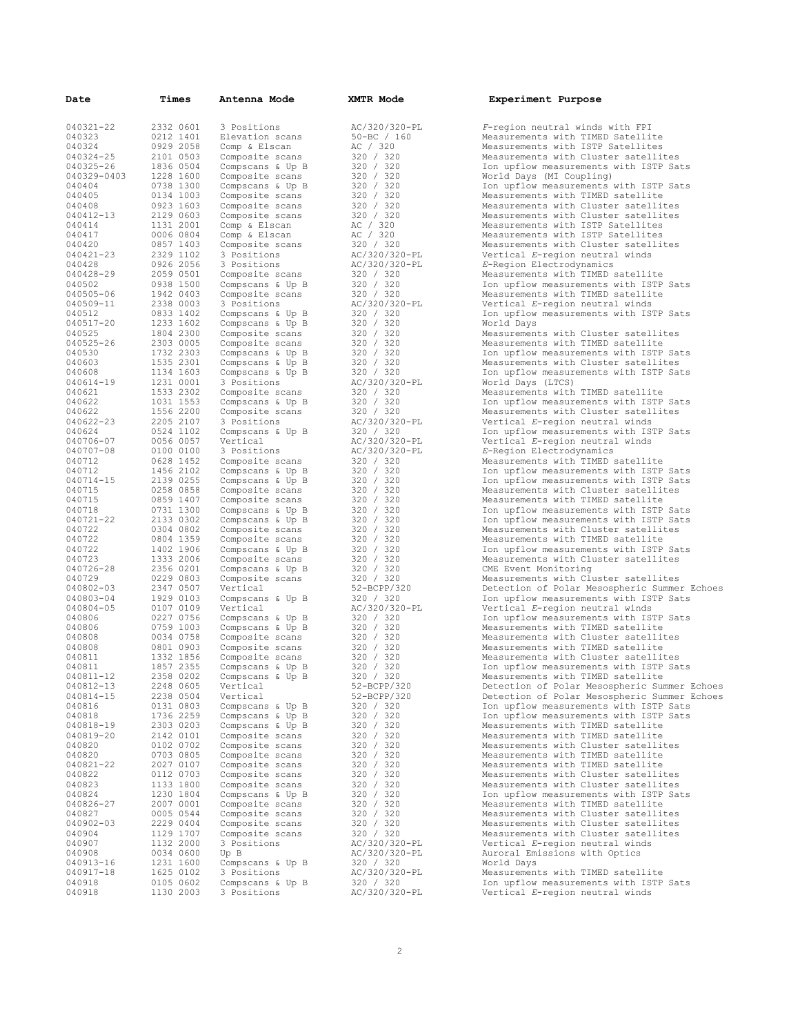| Date        | Times     | Antenna Mode     | <b>XMTR Mode</b> | Experiment Purpose                           |
|-------------|-----------|------------------|------------------|----------------------------------------------|
|             |           |                  |                  |                                              |
| 040321-22   | 2332 0601 | 3 Positions      | AC/320/320-PL    | F-region neutral winds with FPI              |
| 040323      | 0212 1401 | Elevation scans  | $50 - BC / 160$  | Measurements with TIMED Satellite            |
| 040324      | 0929 2058 | Comp & Elscan    | AC / 320         | Measurements with ISTP Satellites            |
| 040324-25   | 2101 0503 | Composite scans  | 320 / 320        | Measurements with Cluster satellites         |
| 040325-26   | 1836 0504 | Compscans & Up B | 320 / 320        | Ion upflow measurements with ISTP Sats       |
| 040329-0403 | 1228 1600 | Composite scans  | 320 / 320        | World Days (MI Coupling)                     |
| 040404      | 0738 1300 | Compscans & Up B | 320 / 320        | Ion upflow measurements with ISTP Sats       |
| 040405      | 0134 1003 | Composite scans  | 320 / 320        | Measurements with TIMED satellite            |
| 040408      | 0923 1603 | Composite scans  | 320 / 320        | Measurements with Cluster satellites         |
| 040412-13   | 2129 0603 | Composite scans  | 320 / 320        | Measurements with Cluster satellites         |
| 040414      | 1131 2001 | Comp & Elscan    | AC / 320         | Measurements with ISTP Satellites            |
| 040417      | 0006 0804 | Comp & Elscan    | AC / 320         | Measurements with ISTP Satellites            |
| 040420      | 0857 1403 | Composite scans  | 320 / 320        | Measurements with Cluster satellites         |
| 040421-23   | 2329 1102 | 3 Positions      | AC/320/320-PL    | Vertical E-region neutral winds              |
| 040428      | 0926 2056 | 3 Positions      | AC/320/320-PL    | E-Region Electrodynamics                     |
| 040428-29   | 2059 0501 | Composite scans  | 320 / 320        | Measurements with TIMED satellite            |
| 040502      | 0938 1500 | Compscans & Up B | 320 / 320        | Ion upflow measurements with ISTP Sats       |
| 040505-06   | 1942 0403 | Composite scans  | 320 / 320        | Measurements with TIMED satellite            |
| 040509-11   | 2338 0003 | 3 Positions      | AC/320/320-PL    | Vertical E-region neutral winds              |
| 040512      | 0833 1402 | Compscans & Up B | 320 / 320        | Ion upflow measurements with ISTP Sats       |
| 040517-20   | 1233 1602 | Compscans & Up B | 320 / 320        | World Days                                   |
| 040525      | 1804 2300 | Composite scans  | 320 / 320        | Measurements with Cluster satellites         |
| 040525-26   | 2303 0005 | Composite scans  | 320 / 320        | Measurements with TIMED satellite            |
| 040530      | 1732 2303 | Compscans & Up B | 320 / 320        | Ion upflow measurements with ISTP Sats       |
| 040603      | 1535 2301 | Compscans & Up B | 320 / 320        | Measurements with Cluster satellites         |
| 040608      | 1134 1603 | Compscans & Up B | 320 / 320        | Ion upflow measurements with ISTP Sats       |
| 040614-19   | 1231 0001 | 3 Positions      | AC/320/320-PL    | World Days (LTCS)                            |
| 040621      | 1533 2302 | Composite scans  | 320 / 320        | Measurements with TIMED satellite            |
| 040622      | 1031 1553 | Compscans & Up B | 320 / 320        | Ion upflow measurements with ISTP Sats       |
| 040622      | 1556 2200 | Composite scans  | 320 / 320        | Measurements with Cluster satellites         |
| 040622-23   | 2205 2107 | 3 Positions      | AC/320/320-PL    | Vertical E-region neutral winds              |
| 040624      | 0524 1102 | Compscans & Up B | 320 / 320        | Ion upflow measurements with ISTP Sats       |
| 040706-07   | 0056 0057 | Vertical         | AC/320/320-PL    | Vertical E-region neutral winds              |
| 040707-08   | 0100 0100 | 3 Positions      | AC/320/320-PL    | E-Region Electrodynamics                     |
| 040712      | 0628 1452 | Composite scans  | 320 / 320        | Measurements with TIMED satellite            |
| 040712      | 1456 2102 | Compscans & Up B | 320 / 320        | Ion upflow measurements with ISTP Sats       |
| 040714-15   | 2139 0255 | Compscans & Up B | 320 / 320        | Ion upflow measurements with ISTP Sats       |
| 040715      | 0258 0858 | Composite scans  | 320 / 320        | Measurements with Cluster satellites         |
| 040715      | 0859 1407 | Composite scans  | 320 / 320        | Measurements with TIMED satellite            |
| 040718      | 0731 1300 | Compscans & Up B | 320 / 320        | Ion upflow measurements with ISTP Sats       |
| 040721-22   | 2133 0302 | Compscans & Up B | 320 / 320        | Ion upflow measurements with ISTP Sats       |
| 040722      | 0304 0802 | Composite scans  | 320 / 320        | Measurements with Cluster satellites         |
| 040722      | 0804 1359 | Composite scans  | 320 / 320        | Measurements with TIMED satellite            |
| 040722      | 1402 1906 | Compscans & Up B | 320 / 320        | Ion upflow measurements with ISTP Sats       |
| 040723      | 1333 2006 | Composite scans  | 320 / 320        | Measurements with Cluster satellites         |
| 040726-28   | 2356 0201 | Compscans & Up B | 320 / 320        | CME Event Monitoring                         |
| 040729      | 0229 0803 | Composite scans  | 320 / 320        | Measurements with Cluster satellites         |
| 040802-03   | 2347 0507 | Vertical         | 52-BCPP/320      | Detection of Polar Mesospheric Summer Echoes |
| 040803-04   | 1929 0103 | Compscans & Up B | 320 / 320        | Ion upflow measurements with ISTP Sats       |
| 040804-05   | 0107 0109 | Vertical         | AC/320/320-PL    | Vertical E-region neutral winds              |
| 040806      | 0227 0756 | Compscans & Up B | 320 / 320        | Ion upflow measurements with ISTP Sats       |
| 040806      | 0759 1003 | Compscans & Up B | 320 / 320        | Measurements with TIMED satellite            |
| 040808      | 0034 0758 | Composite scans  | 320 / 320        | Measurements with Cluster satellites         |
| 040808      | 0801 0903 | Composite scans  | 320 / 320        | Measurements with TIMED satellite            |
| 040811      | 1332 1856 | Composite scans  | 320 / 320        | Measurements with Cluster satellites         |
| 040811      | 1857 2355 | Compscans & Up B | 320 / 320        | Ion upflow measurements with ISTP Sats       |
| 040811-12   | 2358 0202 | Compscans & Up B | 320 / 320        | Measurements with TIMED satellite            |
| 040812-13   | 2248 0605 | Vertical         | 52-BCPP/320      | Detection of Polar Mesospheric Summer Echoes |
| 040814-15   | 2238 0504 | Vertical         | 52-BCPP/320      | Detection of Polar Mesospheric Summer Echoes |
| 040816      | 0131 0803 | Compscans & Up B | 320 / 320        | Ion upflow measurements with ISTP Sats       |
| 040818      | 1736 2259 | Compscans & Up B | 320 / 320        | Ion upflow measurements with ISTP Sats       |
| 040818-19   | 2303 0203 | Compscans & Up B | 320 / 320        | Measurements with TIMED satellite            |
| 040819-20   | 2142 0101 | Composite scans  | 320 / 320        | Measurements with TIMED satellite            |
| 040820      | 0102 0702 | Composite scans  | 320 / 320        | Measurements with Cluster satellites         |
| 040820      | 0703 0805 | Composite scans  | 320 / 320        | Measurements with TIMED satellite            |
| 040821-22   | 2027 0107 | Composite scans  | 320 / 320        | Measurements with TIMED satellite            |
| 040822      | 0112 0703 | Composite scans  | 320 / 320        | Measurements with Cluster satellites         |
| 040823      | 1133 1800 | Composite scans  | 320 / 320        | Measurements with Cluster satellites         |
| 040824      | 1230 1804 | Compscans & Up B | 320 / 320        | Ion upflow measurements with ISTP Sats       |
| 040826-27   | 2007 0001 | Composite scans  | 320 / 320        | Measurements with TIMED satellite            |
| 040827      | 0005 0544 | Composite scans  | 320 / 320        | Measurements with Cluster satellites         |
| 040902-03   | 2229 0404 | Composite scans  | 320 / 320        | Measurements with Cluster satellites         |
| 040904      | 1129 1707 | Composite scans  | 320 / 320        | Measurements with Cluster satellites         |
| 040907      | 1132 2000 | 3 Positions      | AC/320/320-PL    | Vertical E-region neutral winds              |
| 040908      | 0034 0600 | Up B             | AC/320/320-PL    | Auroral Emissions with Optics                |
| 040913-16   | 1231 1600 | Compscans & Up B | 320 / 320        | World Days                                   |
| 040917-18   | 1625 0102 | 3 Positions      | AC/320/320-PL    | Measurements with TIMED satellite            |
| 040918      | 0105 0602 | Compscans & Up B | 320 / 320        | Ion upflow measurements with ISTP Sats       |
| 040918      | 1130 2003 | 3 Positions      | AC/320/320-PL    | Vertical E-region neutral winds              |
|             |           |                  |                  |                                              |

| Experiment Purpose |  |
|--------------------|--|
|--------------------|--|